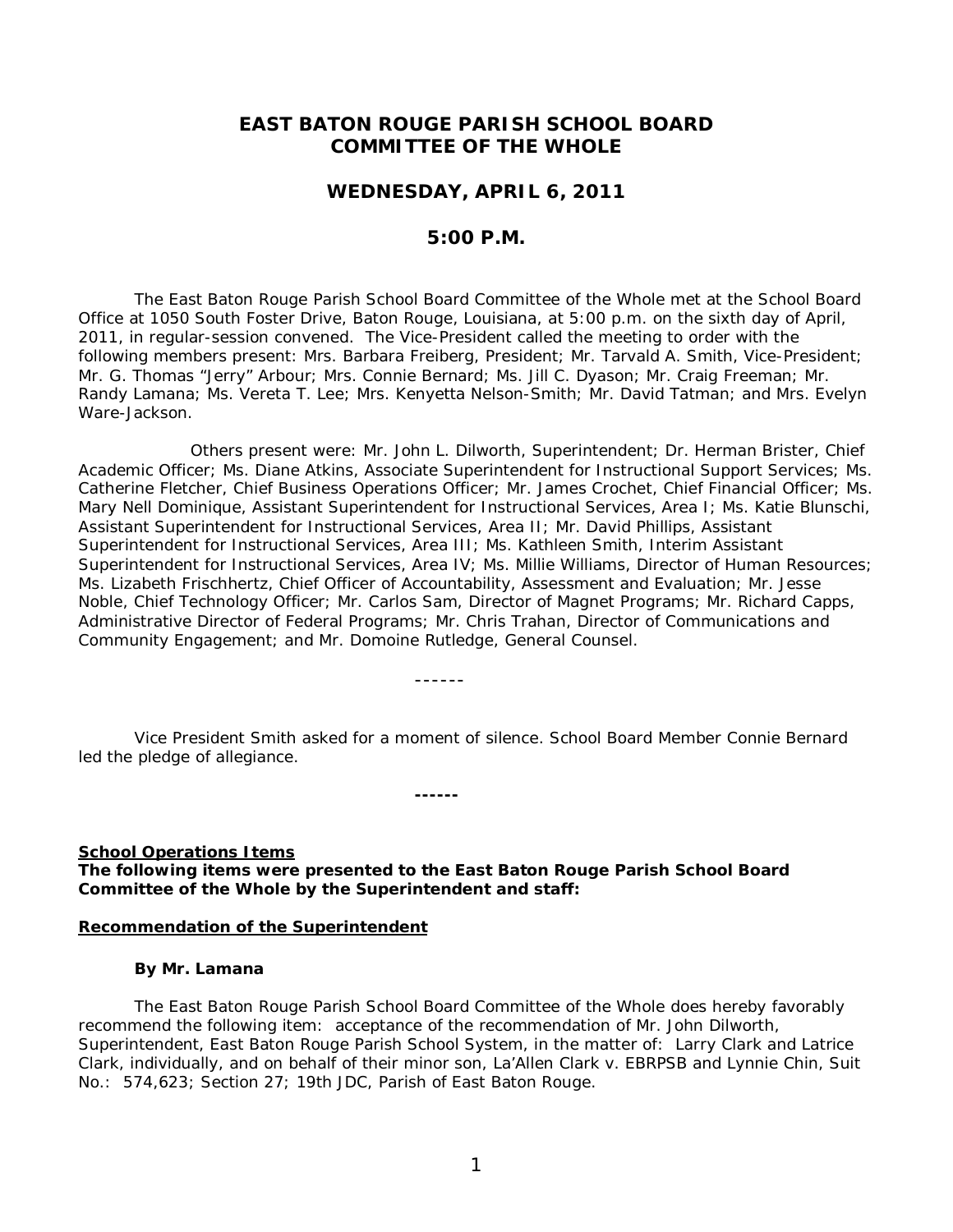## **EAST BATON ROUGE PARISH SCHOOL BOARD COMMITTEE OF THE WHOLE**

## **WEDNESDAY, APRIL 6, 2011**

## **5:00 P.M.**

The East Baton Rouge Parish School Board Committee of the Whole met at the School Board Office at 1050 South Foster Drive, Baton Rouge, Louisiana, at 5:00 p.m. on the sixth day of April, 2011, in regular-session convened. The Vice-President called the meeting to order with the following members present: Mrs. Barbara Freiberg, President; Mr. Tarvald A. Smith, Vice-President; Mr. G. Thomas "Jerry" Arbour; Mrs. Connie Bernard; Ms. Jill C. Dyason; Mr. Craig Freeman; Mr. Randy Lamana; Ms. Vereta T. Lee; Mrs. Kenyetta Nelson-Smith; Mr. David Tatman; and Mrs. Evelyn Ware-Jackson.

Others present were: Mr. John L. Dilworth, Superintendent; Dr. Herman Brister, Chief Academic Officer; Ms. Diane Atkins, Associate Superintendent for Instructional Support Services; Ms. Catherine Fletcher, Chief Business Operations Officer; Mr. James Crochet, Chief Financial Officer; Ms. Mary Nell Dominique, Assistant Superintendent for Instructional Services, Area I; Ms. Katie Blunschi, Assistant Superintendent for Instructional Services, Area II; Mr. David Phillips, Assistant Superintendent for Instructional Services, Area III; Ms. Kathleen Smith, Interim Assistant Superintendent for Instructional Services, Area IV; Ms. Millie Williams, Director of Human Resources; Ms. Lizabeth Frischhertz, Chief Officer of Accountability, Assessment and Evaluation; Mr. Jesse Noble, Chief Technology Officer; Mr. Carlos Sam, Director of Magnet Programs; Mr. Richard Capps, Administrative Director of Federal Programs; Mr. Chris Trahan, Director of Communications and Community Engagement; and Mr. Domoine Rutledge, General Counsel.

------

Vice President Smith asked for a moment of silence. School Board Member Connie Bernard led the pledge of allegiance.

**------**

## **School Operations Items**

**The following items were presented to the East Baton Rouge Parish School Board Committee of the Whole by the Superintendent and staff:**

#### **Recommendation of the Superintendent**

#### **By Mr. Lamana**

The East Baton Rouge Parish School Board Committee of the Whole does hereby favorably recommend the following item: acceptance of the recommendation of Mr. John Dilworth, Superintendent, East Baton Rouge Parish School System, in the matter of: Larry Clark and Latrice Clark, individually, and on behalf of their minor son, La'Allen Clark v. EBRPSB and Lynnie Chin, Suit No.: 574,623; Section 27; 19th JDC, Parish of East Baton Rouge.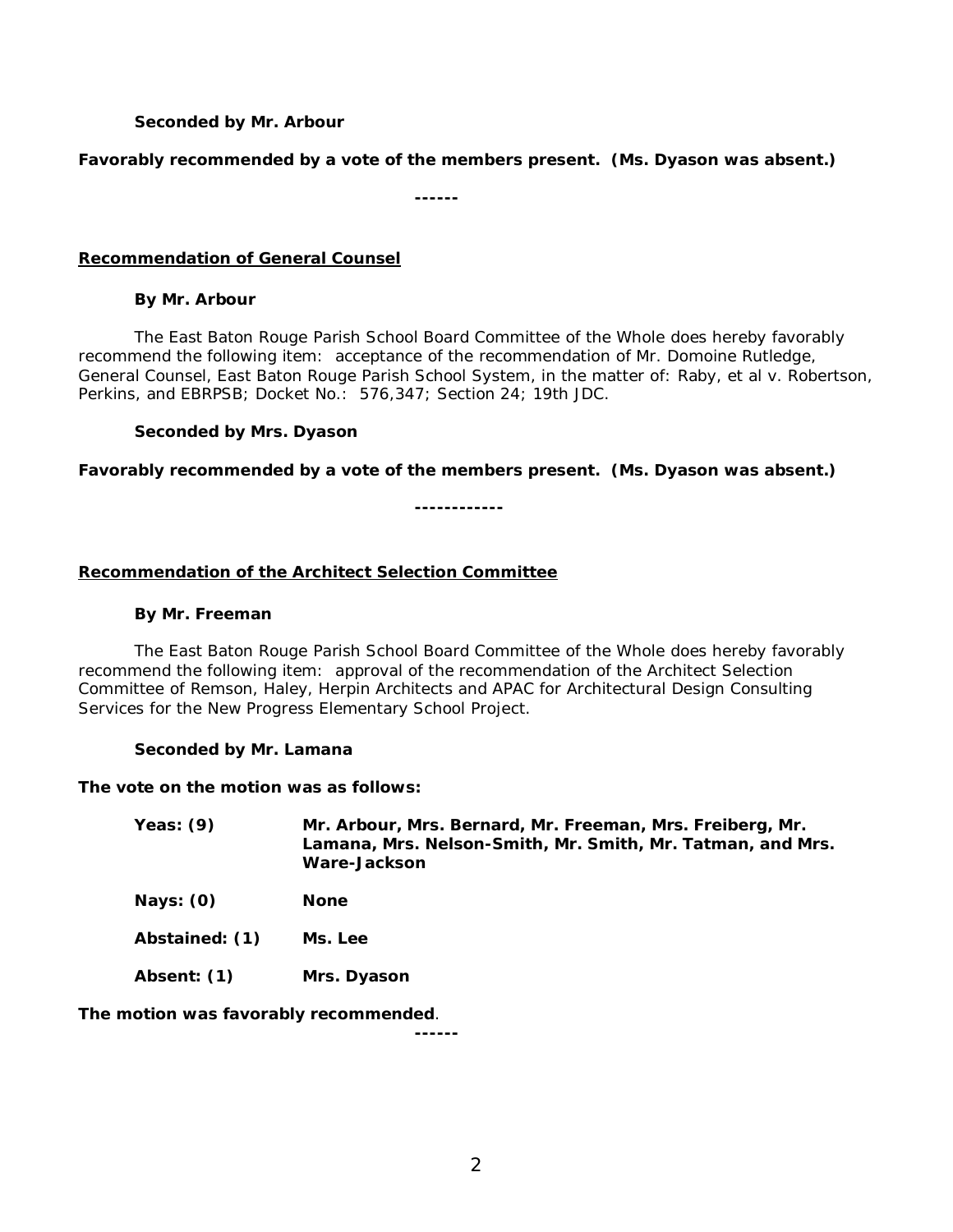## **Seconded by Mr. Arbour**

#### **Favorably recommended by a vote of the members present. (Ms. Dyason was absent.)**

**------**

#### **Recommendation of General Counsel**

#### **By Mr. Arbour**

The East Baton Rouge Parish School Board Committee of the Whole does hereby favorably recommend the following item: acceptance of the recommendation of Mr. Domoine Rutledge, General Counsel, East Baton Rouge Parish School System, in the matter of: Raby, et al v. Robertson, Perkins, and EBRPSB; Docket No.: 576,347; Section 24; 19th JDC.

#### **Seconded by Mrs. Dyason**

**Favorably recommended by a vote of the members present. (Ms. Dyason was absent.)**

**------------**

## **Recommendation of the Architect Selection Committee**

#### **By Mr. Freeman**

The East Baton Rouge Parish School Board Committee of the Whole does hereby favorably recommend the following item: approval of the recommendation of the Architect Selection Committee of Remson, Haley, Herpin Architects and APAC for Architectural Design Consulting Services for the New Progress Elementary School Project.

#### **Seconded by Mr. Lamana**

#### **The vote on the motion was as follows:**

| Yeas: $(9)$ | Mr. Arbour, Mrs. Bernard, Mr. Freeman, Mrs. Freiberg, Mr.  |
|-------------|------------------------------------------------------------|
|             | Lamana, Mrs. Nelson-Smith, Mr. Smith, Mr. Tatman, and Mrs. |
|             | Ware-Jackson                                               |

**Nays: (0) None**

**Abstained: (1) Ms. Lee**

**Absent: (1) Mrs. Dyason**

**The motion was favorably recommended**.

**------**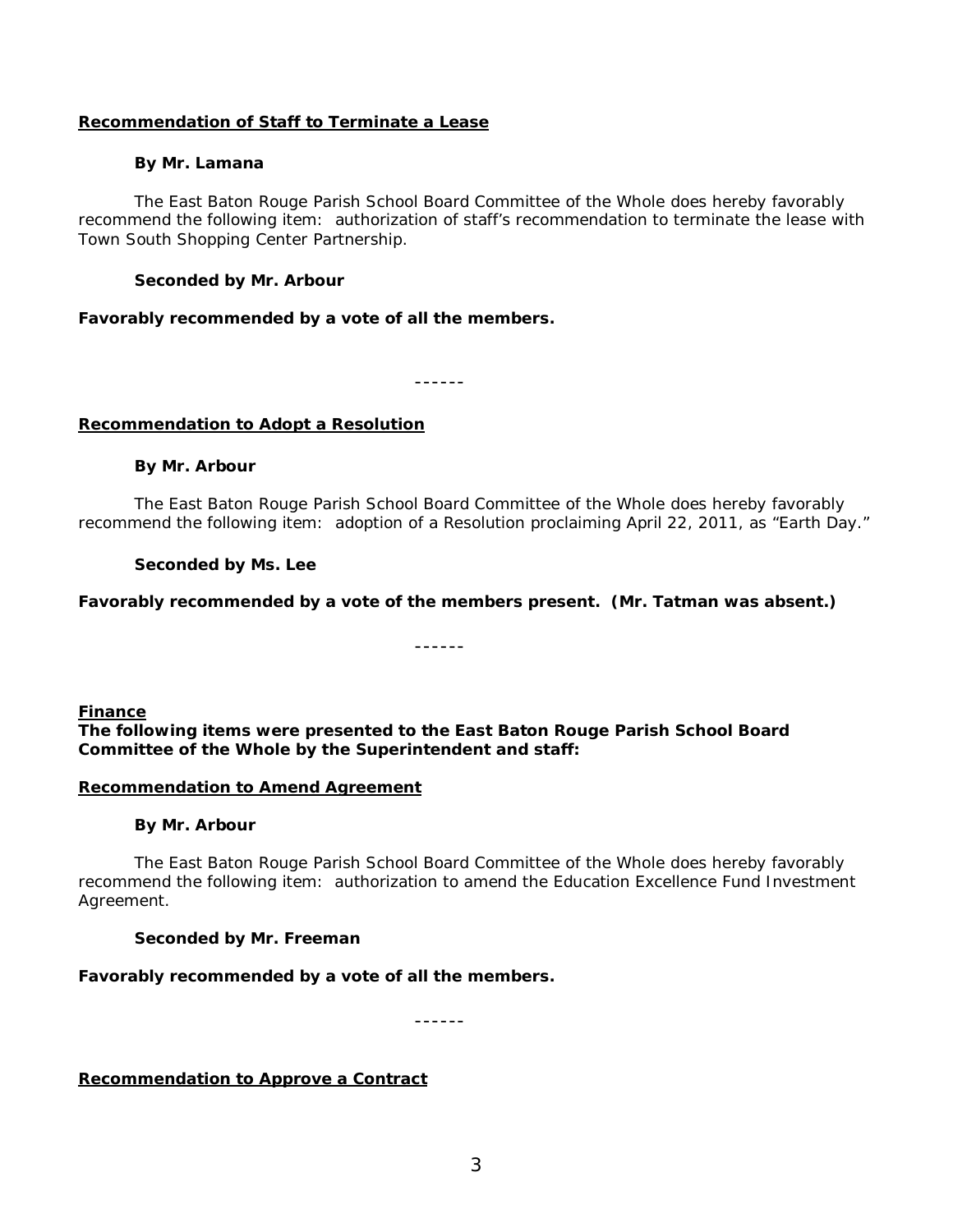## **Recommendation of Staff to Terminate a Lease**

## **By Mr. Lamana**

The East Baton Rouge Parish School Board Committee of the Whole does hereby favorably recommend the following item: authorization of staff's recommendation to terminate the lease with Town South Shopping Center Partnership.

## **Seconded by Mr. Arbour**

## **Favorably recommended by a vote of all the members.**

------

## **Recommendation to Adopt a Resolution**

## **By Mr. Arbour**

The East Baton Rouge Parish School Board Committee of the Whole does hereby favorably recommend the following item: adoption of a Resolution proclaiming April 22, 2011, as "Earth Day."

## **Seconded by Ms. Lee**

## **Favorably recommended by a vote of the members present. (Mr. Tatman was absent.)**

------

## **Finance**

**The following items were presented to the East Baton Rouge Parish School Board Committee of the Whole by the Superintendent and staff:**

## **Recommendation to Amend Agreement**

## **By Mr. Arbour**

The East Baton Rouge Parish School Board Committee of the Whole does hereby favorably recommend the following item:authorization to amend the Education Excellence Fund Investment Agreement.

## **Seconded by Mr. Freeman**

## **Favorably recommended by a vote of all the members.**

------

## **Recommendation to Approve a Contract**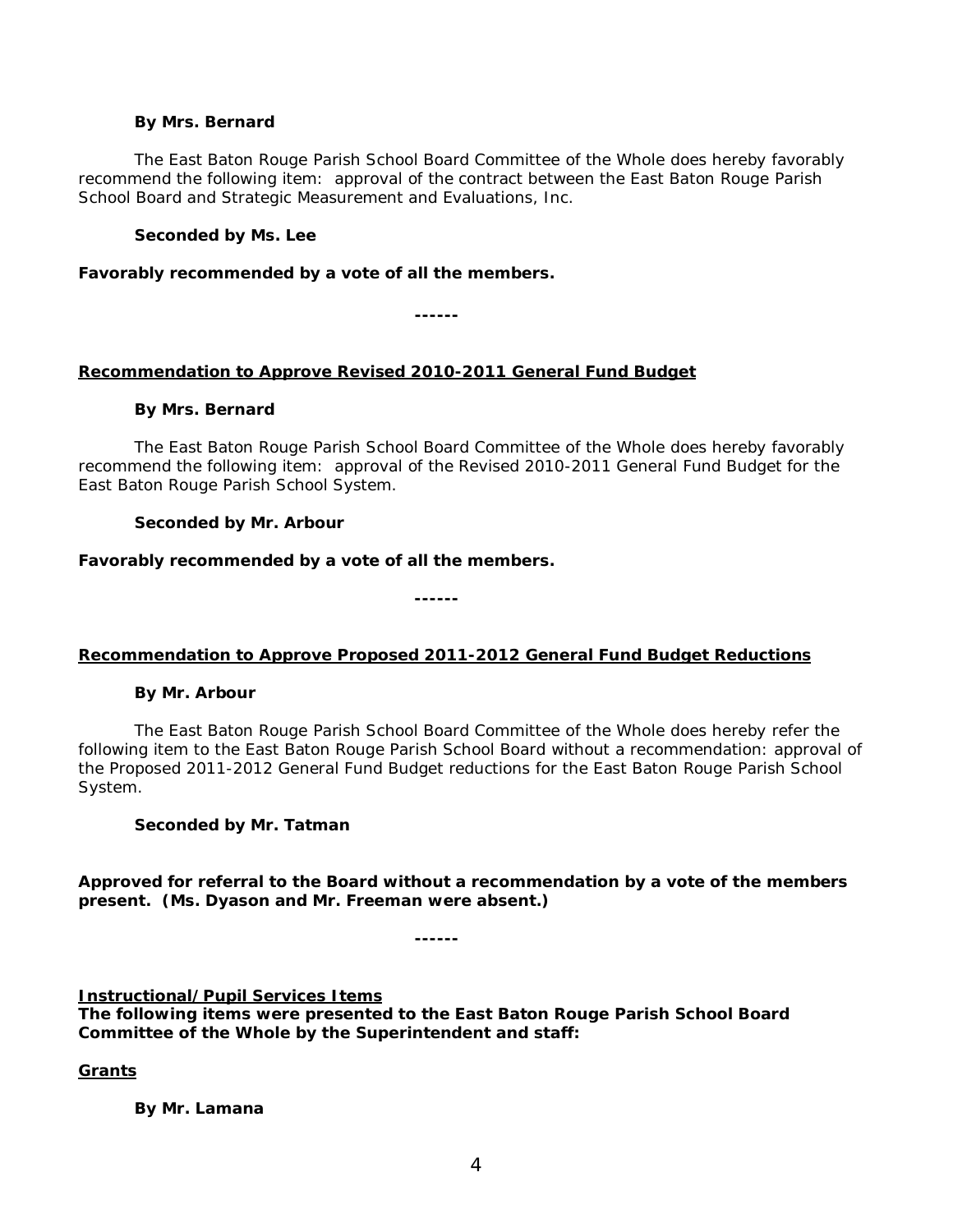#### **By Mrs. Bernard**

The East Baton Rouge Parish School Board Committee of the Whole does hereby favorably recommend the following item:approval of the contract between the East Baton Rouge Parish School Board and Strategic Measurement and Evaluations, Inc.

## **Seconded by Ms. Lee**

**Favorably recommended by a vote of all the members.**

**------**

# **Recommendation to Approve Revised 2010-2011 General Fund Budget**

## **By Mrs. Bernard**

The East Baton Rouge Parish School Board Committee of the Whole does hereby favorably recommend the following item:approval of the Revised 2010-2011 General Fund Budget for the East Baton Rouge Parish School System.

# **Seconded by Mr. Arbour**

# **Favorably recommended by a vote of all the members.**

**------**

# **Recommendation to Approve Proposed 2011-2012 General Fund Budget Reductions**

# **By Mr. Arbour**

The East Baton Rouge Parish School Board Committee of the Whole does hereby refer the following item to the East Baton Rouge Parish School Board without a recommendation: approval of the Proposed 2011-2012 General Fund Budget reductions for the East Baton Rouge Parish School System.

# **Seconded by Mr. Tatman**

**Approved for referral to the Board without a recommendation by a vote of the members present. (Ms. Dyason and Mr. Freeman were absent.)**

**------**

# **Instructional/Pupil Services Items**

**The following items were presented to the East Baton Rouge Parish School Board Committee of the Whole by the Superintendent and staff:**

# **Grants**

**By Mr. Lamana**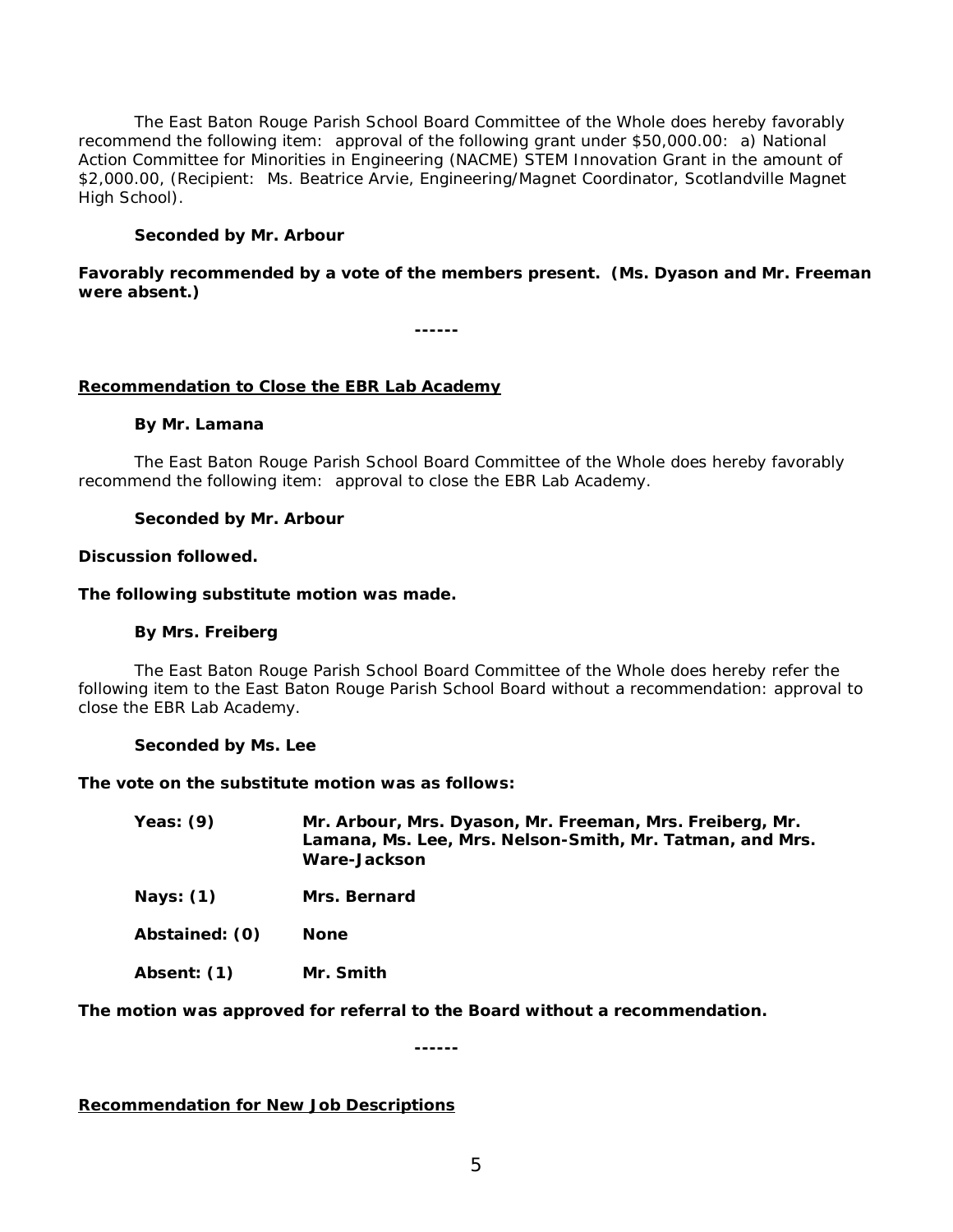The East Baton Rouge Parish School Board Committee of the Whole does hereby favorably recommend the following item: approval of the following grant under \$50,000.00: a) National Action Committee for Minorities in Engineering (NACME) STEM Innovation Grant in the amount of \$2,000.00, (Recipient: Ms. Beatrice Arvie, Engineering/Magnet Coordinator, Scotlandville Magnet High School).

## **Seconded by Mr. Arbour**

## **Favorably recommended by a vote of the members present. (Ms. Dyason and Mr. Freeman were absent.)**

**------**

## **Recommendation to Close the EBR Lab Academy**

#### **By Mr. Lamana**

The East Baton Rouge Parish School Board Committee of the Whole does hereby favorably recommend the following item: approval to close the EBR Lab Academy.

#### **Seconded by Mr. Arbour**

#### **Discussion followed.**

#### **The following substitute motion was made.**

#### **By Mrs. Freiberg**

The East Baton Rouge Parish School Board Committee of the Whole does hereby refer the following item to the East Baton Rouge Parish School Board without a recommendation: approval to close the EBR Lab Academy.

#### **Seconded by Ms. Lee**

**The vote on the substitute motion was as follows:**

| Yeas: $(9)$ | Mr. Arbour, Mrs. Dyason, Mr. Freeman, Mrs. Freiberg, Mr.<br>Lamana, Ms. Lee, Mrs. Nelson-Smith, Mr. Tatman, and Mrs. |
|-------------|----------------------------------------------------------------------------------------------------------------------|
|             | Ware-Jackson                                                                                                         |
|             |                                                                                                                      |

**Nays: (1) Mrs. Bernard**

**Abstained: (0) None**

**Absent: (1) Mr. Smith**

**The motion was approved for referral to the Board without a recommendation.**

**------**

**Recommendation for New Job Descriptions**